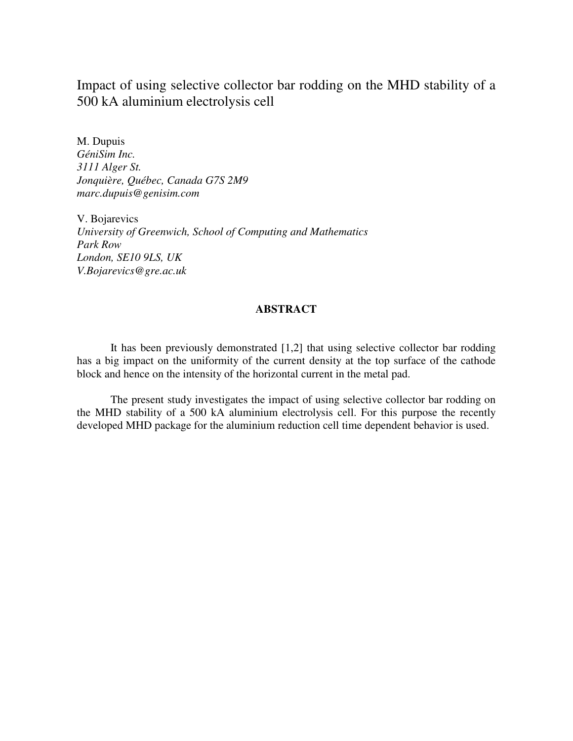Impact of using selective collector bar rodding on the MHD stability of a 500 kA aluminium electrolysis cell

M. Dupuis *GéniSim Inc. 3111 Alger St. Jonquière, Québec, Canada G7S 2M9 marc.dupuis@genisim.com* 

V. Bojarevics *University of Greenwich, School of Computing and Mathematics Park Row London, SE10 9LS, UK V.Bojarevics@gre.ac.uk* 

## **ABSTRACT**

It has been previously demonstrated [1,2] that using selective collector bar rodding has a big impact on the uniformity of the current density at the top surface of the cathode block and hence on the intensity of the horizontal current in the metal pad.

The present study investigates the impact of using selective collector bar rodding on the MHD stability of a 500 kA aluminium electrolysis cell. For this purpose the recently developed MHD package for the aluminium reduction cell time dependent behavior is used.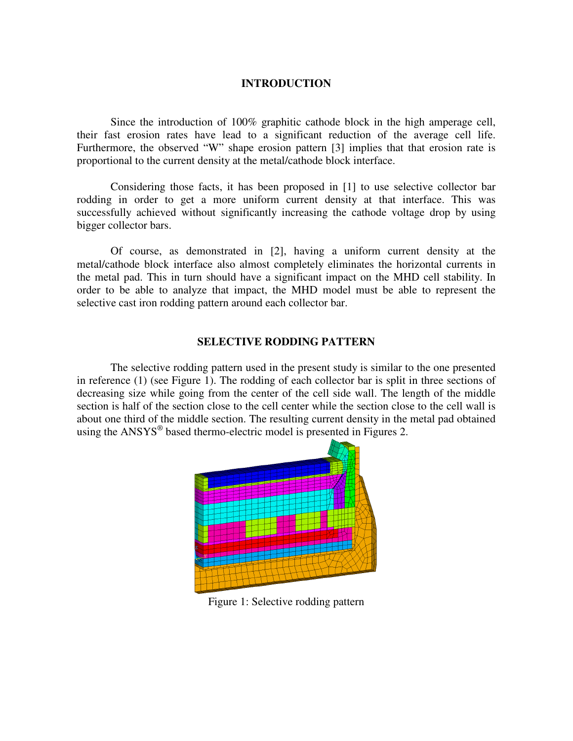## **INTRODUCTION**

Since the introduction of 100% graphitic cathode block in the high amperage cell, their fast erosion rates have lead to a significant reduction of the average cell life. Furthermore, the observed "W" shape erosion pattern [3] implies that that erosion rate is proportional to the current density at the metal/cathode block interface.

Considering those facts, it has been proposed in [1] to use selective collector bar rodding in order to get a more uniform current density at that interface. This was successfully achieved without significantly increasing the cathode voltage drop by using bigger collector bars.

Of course, as demonstrated in [2], having a uniform current density at the metal/cathode block interface also almost completely eliminates the horizontal currents in the metal pad. This in turn should have a significant impact on the MHD cell stability. In order to be able to analyze that impact, the MHD model must be able to represent the selective cast iron rodding pattern around each collector bar.

## **SELECTIVE RODDING PATTERN**

The selective rodding pattern used in the present study is similar to the one presented in reference (1) (see Figure 1). The rodding of each collector bar is split in three sections of decreasing size while going from the center of the cell side wall. The length of the middle section is half of the section close to the cell center while the section close to the cell wall is about one third of the middle section. The resulting current density in the metal pad obtained using the ANSYS<sup>®</sup> based thermo-electric model is presented in Figures 2.



Figure 1: Selective rodding pattern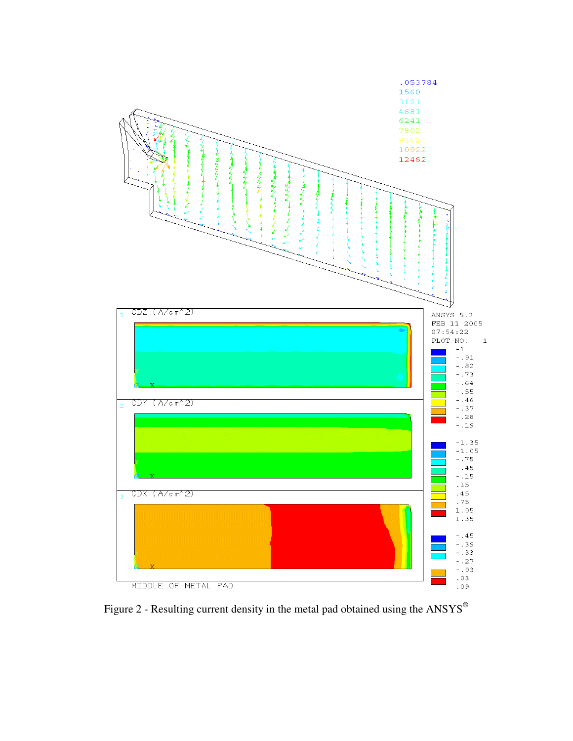

Figure 2 - Resulting current density in the metal pad obtained using the  $\mathbf{ANSYS}^\circledast$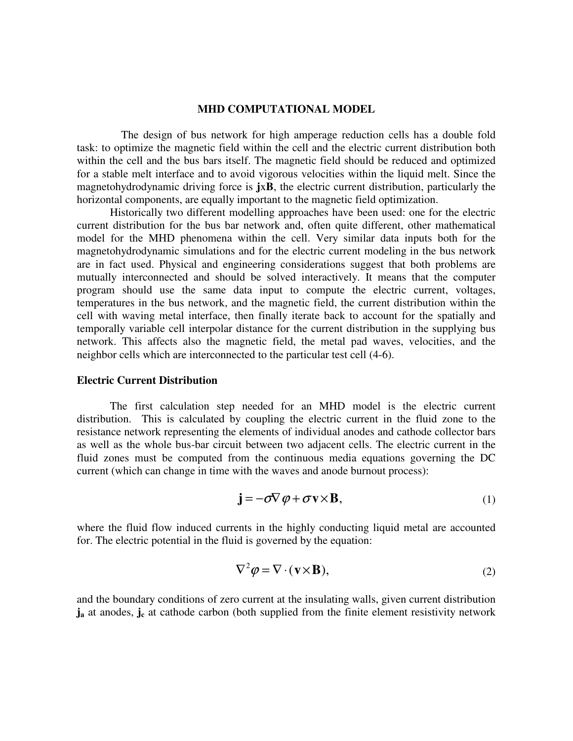#### **MHD COMPUTATIONAL MODEL**

 The design of bus network for high amperage reduction cells has a double fold task: to optimize the magnetic field within the cell and the electric current distribution both within the cell and the bus bars itself. The magnetic field should be reduced and optimized for a stable melt interface and to avoid vigorous velocities within the liquid melt. Since the magnetohydrodynamic driving force is **j**x**B**, the electric current distribution, particularly the horizontal components, are equally important to the magnetic field optimization.

Historically two different modelling approaches have been used: one for the electric current distribution for the bus bar network and, often quite different, other mathematical model for the MHD phenomena within the cell. Very similar data inputs both for the magnetohydrodynamic simulations and for the electric current modeling in the bus network are in fact used. Physical and engineering considerations suggest that both problems are mutually interconnected and should be solved interactively. It means that the computer program should use the same data input to compute the electric current, voltages, temperatures in the bus network, and the magnetic field, the current distribution within the cell with waving metal interface, then finally iterate back to account for the spatially and temporally variable cell interpolar distance for the current distribution in the supplying bus network. This affects also the magnetic field, the metal pad waves, velocities, and the neighbor cells which are interconnected to the particular test cell (4-6).

#### **Electric Current Distribution**

The first calculation step needed for an MHD model is the electric current distribution. This is calculated by coupling the electric current in the fluid zone to the resistance network representing the elements of individual anodes and cathode collector bars as well as the whole bus-bar circuit between two adjacent cells. The electric current in the fluid zones must be computed from the continuous media equations governing the DC current (which can change in time with the waves and anode burnout process):

$$
\mathbf{j} = -\sigma \nabla \varphi + \sigma \mathbf{v} \times \mathbf{B},\tag{1}
$$

where the fluid flow induced currents in the highly conducting liquid metal are accounted for. The electric potential in the fluid is governed by the equation:

$$
\nabla^2 \varphi = \nabla \cdot (\mathbf{v} \times \mathbf{B}),\tag{2}
$$

and the boundary conditions of zero current at the insulating walls, given current distribution **j**<sub>a</sub> at anodes, **j**<sub>c</sub> at cathode carbon (both supplied from the finite element resistivity network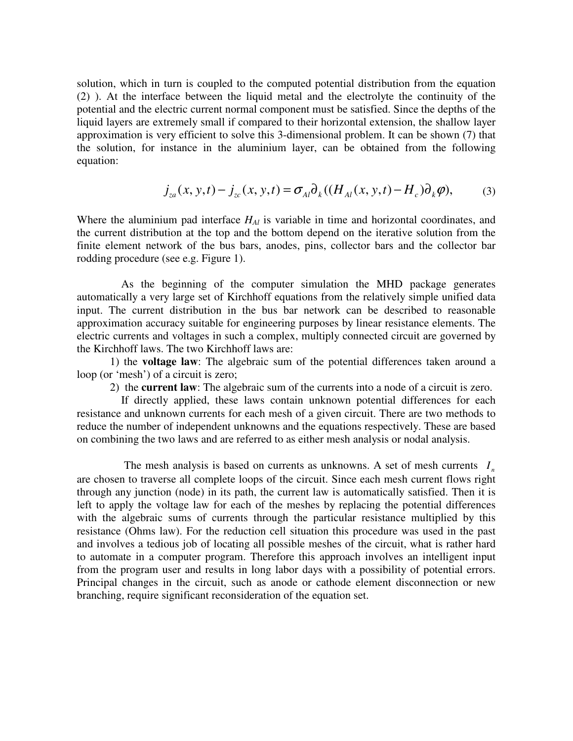solution, which in turn is coupled to the computed potential distribution from the equation (2) ). At the interface between the liquid metal and the electrolyte the continuity of the potential and the electric current normal component must be satisfied. Since the depths of the liquid layers are extremely small if compared to their horizontal extension, the shallow layer approximation is very efficient to solve this 3-dimensional problem. It can be shown (7) that the solution, for instance in the aluminium layer, can be obtained from the following equation:

$$
j_{za}(x, y, t) - j_{zc}(x, y, t) = \sigma_{Al}\partial_k((H_{Al}(x, y, t) - H_c)\partial_k\varphi),
$$
 (3)

Where the aluminium pad interface *HAl* is variable in time and horizontal coordinates, and the current distribution at the top and the bottom depend on the iterative solution from the finite element network of the bus bars, anodes, pins, collector bars and the collector bar rodding procedure (see e.g. Figure 1).

 As the beginning of the computer simulation the MHD package generates automatically a very large set of Kirchhoff equations from the relatively simple unified data input. The current distribution in the bus bar network can be described to reasonable approximation accuracy suitable for engineering purposes by linear resistance elements. The electric currents and voltages in such a complex, multiply connected circuit are governed by the Kirchhoff laws. The two Kirchhoff laws are:

1) the **voltage law**: The algebraic sum of the potential differences taken around a loop (or 'mesh') of a circuit is zero;

2) the **current law**: The algebraic sum of the currents into a node of a circuit is zero.

 If directly applied, these laws contain unknown potential differences for each resistance and unknown currents for each mesh of a given circuit. There are two methods to reduce the number of independent unknowns and the equations respectively. These are based on combining the two laws and are referred to as either mesh analysis or nodal analysis.

The mesh analysis is based on currents as unknowns. A set of mesh currents  $I_n$ are chosen to traverse all complete loops of the circuit. Since each mesh current flows right through any junction (node) in its path, the current law is automatically satisfied. Then it is left to apply the voltage law for each of the meshes by replacing the potential differences with the algebraic sums of currents through the particular resistance multiplied by this resistance (Ohms law). For the reduction cell situation this procedure was used in the past and involves a tedious job of locating all possible meshes of the circuit, what is rather hard to automate in a computer program. Therefore this approach involves an intelligent input from the program user and results in long labor days with a possibility of potential errors. Principal changes in the circuit, such as anode or cathode element disconnection or new branching, require significant reconsideration of the equation set.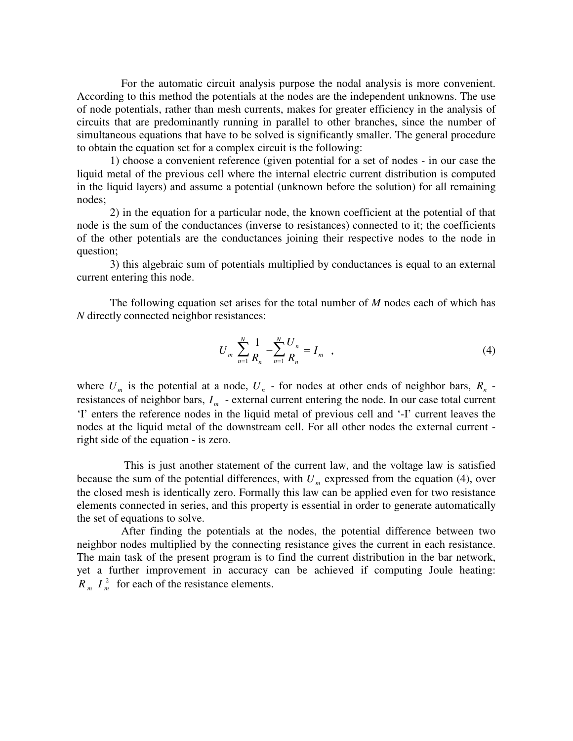For the automatic circuit analysis purpose the nodal analysis is more convenient. According to this method the potentials at the nodes are the independent unknowns. The use of node potentials, rather than mesh currents, makes for greater efficiency in the analysis of circuits that are predominantly running in parallel to other branches, since the number of simultaneous equations that have to be solved is significantly smaller. The general procedure to obtain the equation set for a complex circuit is the following:

1) choose a convenient reference (given potential for a set of nodes - in our case the liquid metal of the previous cell where the internal electric current distribution is computed in the liquid layers) and assume a potential (unknown before the solution) for all remaining nodes;

2) in the equation for a particular node, the known coefficient at the potential of that node is the sum of the conductances (inverse to resistances) connected to it; the coefficients of the other potentials are the conductances joining their respective nodes to the node in question;

3) this algebraic sum of potentials multiplied by conductances is equal to an external current entering this node.

The following equation set arises for the total number of *M* nodes each of which has *N* directly connected neighbor resistances:

$$
U_m \sum_{n=1}^{N} \frac{1}{R_n} - \sum_{n=1}^{N} \frac{U_n}{R_n} = I_m \quad , \tag{4}
$$

where  $U_m$  is the potential at a node,  $U_n$  - for nodes at other ends of neighbor bars,  $R_n$  resistances of neighbor bars,  $I_m$  - external current entering the node. In our case total current 'I' enters the reference nodes in the liquid metal of previous cell and '-I' current leaves the nodes at the liquid metal of the downstream cell. For all other nodes the external current right side of the equation - is zero.

 This is just another statement of the current law, and the voltage law is satisfied because the sum of the potential differences, with  $U_m$  expressed from the equation (4), over the closed mesh is identically zero. Formally this law can be applied even for two resistance elements connected in series, and this property is essential in order to generate automatically the set of equations to solve.

 After finding the potentials at the nodes, the potential difference between two neighbor nodes multiplied by the connecting resistance gives the current in each resistance. The main task of the present program is to find the current distribution in the bar network, yet a further improvement in accuracy can be achieved if computing Joule heating:  $R_m I_m^2$  for each of the resistance elements.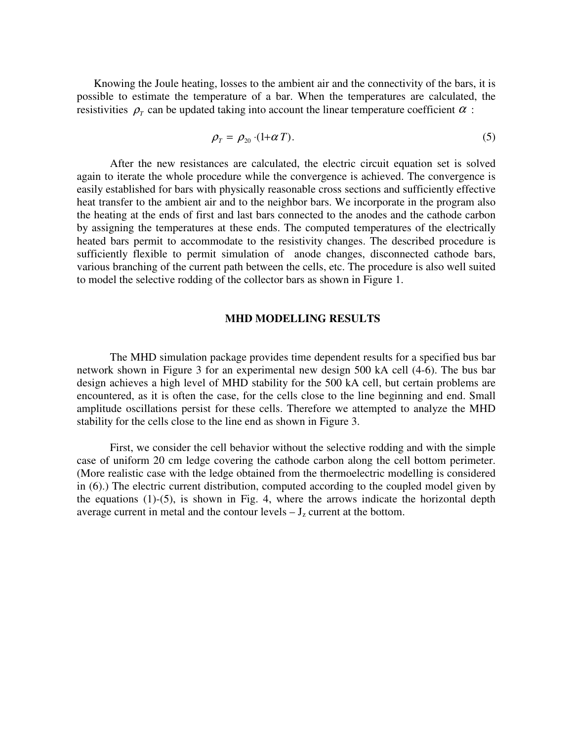Knowing the Joule heating, losses to the ambient air and the connectivity of the bars, it is possible to estimate the temperature of a bar. When the temperatures are calculated, the resistivities  $\rho$ <sub>*r*</sub> can be updated taking into account the linear temperature coefficient  $\alpha$ :

$$
\rho_T = \rho_{20} \cdot (1 + \alpha T). \tag{5}
$$

After the new resistances are calculated, the electric circuit equation set is solved again to iterate the whole procedure while the convergence is achieved. The convergence is easily established for bars with physically reasonable cross sections and sufficiently effective heat transfer to the ambient air and to the neighbor bars. We incorporate in the program also the heating at the ends of first and last bars connected to the anodes and the cathode carbon by assigning the temperatures at these ends. The computed temperatures of the electrically heated bars permit to accommodate to the resistivity changes. The described procedure is sufficiently flexible to permit simulation of anode changes, disconnected cathode bars, various branching of the current path between the cells, etc. The procedure is also well suited to model the selective rodding of the collector bars as shown in Figure 1.

### **MHD MODELLING RESULTS**

The MHD simulation package provides time dependent results for a specified bus bar network shown in Figure 3 for an experimental new design 500 kA cell (4-6). The bus bar design achieves a high level of MHD stability for the 500 kA cell, but certain problems are encountered, as it is often the case, for the cells close to the line beginning and end. Small amplitude oscillations persist for these cells. Therefore we attempted to analyze the MHD stability for the cells close to the line end as shown in Figure 3.

First, we consider the cell behavior without the selective rodding and with the simple case of uniform 20 cm ledge covering the cathode carbon along the cell bottom perimeter. (More realistic case with the ledge obtained from the thermoelectric modelling is considered in (6).) The electric current distribution, computed according to the coupled model given by the equations (1)-(5), is shown in Fig. 4, where the arrows indicate the horizontal depth average current in metal and the contour levels  $-J_z$  current at the bottom.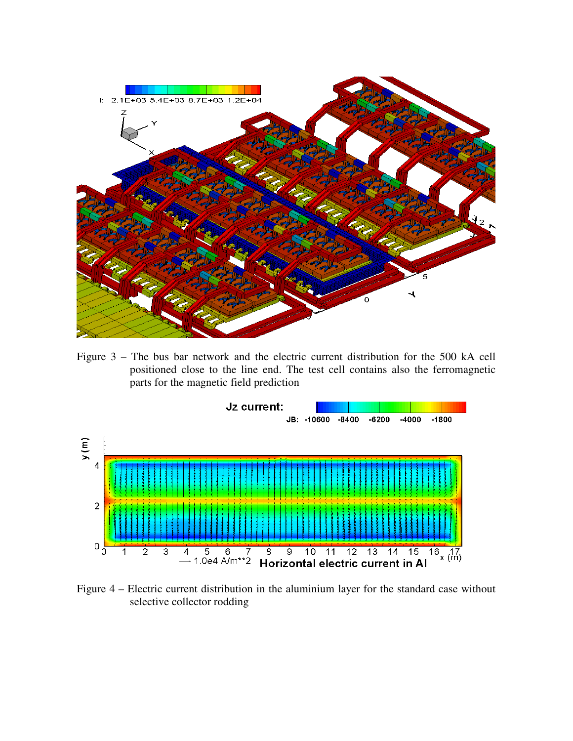

Figure 3 – The bus bar network and the electric current distribution for the 500 kA cell positioned close to the line end. The test cell contains also the ferromagnetic parts for the magnetic field prediction



Figure 4 – Electric current distribution in the aluminium layer for the standard case without selective collector rodding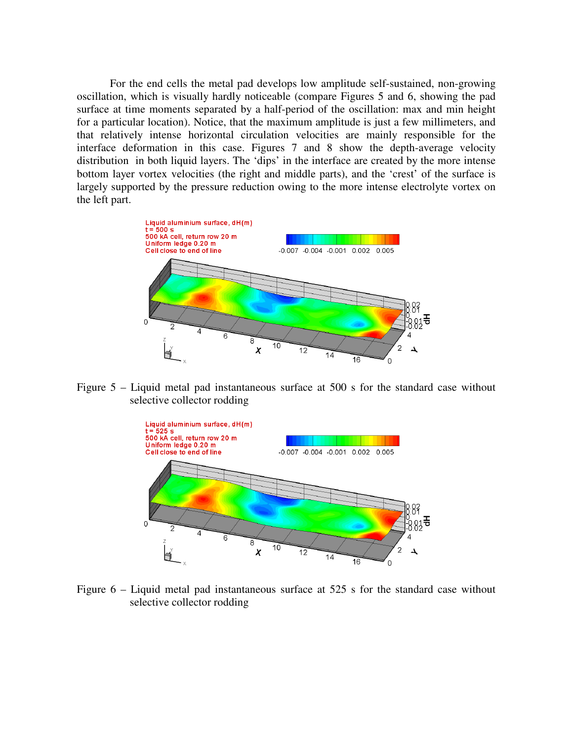For the end cells the metal pad develops low amplitude self-sustained, non-growing oscillation, which is visually hardly noticeable (compare Figures 5 and 6, showing the pad surface at time moments separated by a half-period of the oscillation: max and min height for a particular location). Notice, that the maximum amplitude is just a few millimeters, and that relatively intense horizontal circulation velocities are mainly responsible for the interface deformation in this case. Figures 7 and 8 show the depth-average velocity distribution in both liquid layers. The 'dips' in the interface are created by the more intense bottom layer vortex velocities (the right and middle parts), and the 'crest' of the surface is largely supported by the pressure reduction owing to the more intense electrolyte vortex on the left part.



Figure 5 – Liquid metal pad instantaneous surface at 500 s for the standard case without selective collector rodding



Figure 6 – Liquid metal pad instantaneous surface at 525 s for the standard case without selective collector rodding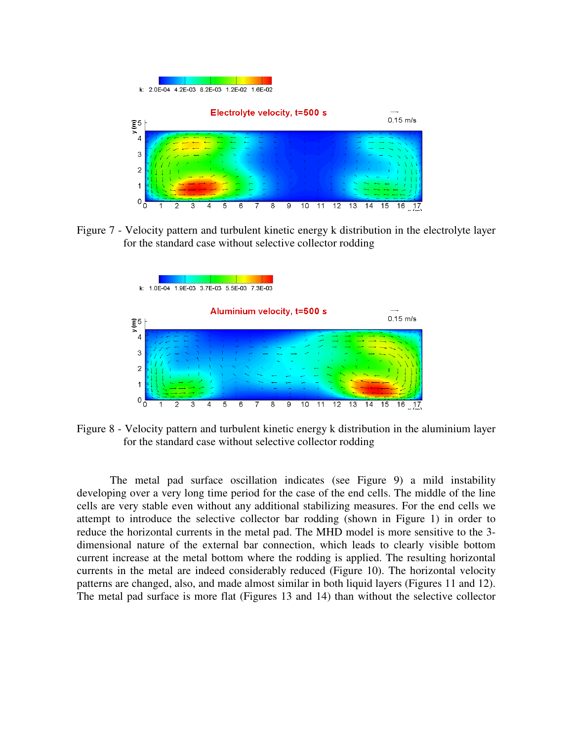

Figure 7 - Velocity pattern and turbulent kinetic energy k distribution in the electrolyte layer for the standard case without selective collector rodding



Figure 8 - Velocity pattern and turbulent kinetic energy k distribution in the aluminium layer for the standard case without selective collector rodding

The metal pad surface oscillation indicates (see Figure 9) a mild instability developing over a very long time period for the case of the end cells. The middle of the line cells are very stable even without any additional stabilizing measures. For the end cells we attempt to introduce the selective collector bar rodding (shown in Figure 1) in order to reduce the horizontal currents in the metal pad. The MHD model is more sensitive to the 3 dimensional nature of the external bar connection, which leads to clearly visible bottom current increase at the metal bottom where the rodding is applied. The resulting horizontal currents in the metal are indeed considerably reduced (Figure 10). The horizontal velocity patterns are changed, also, and made almost similar in both liquid layers (Figures 11 and 12). The metal pad surface is more flat (Figures 13 and 14) than without the selective collector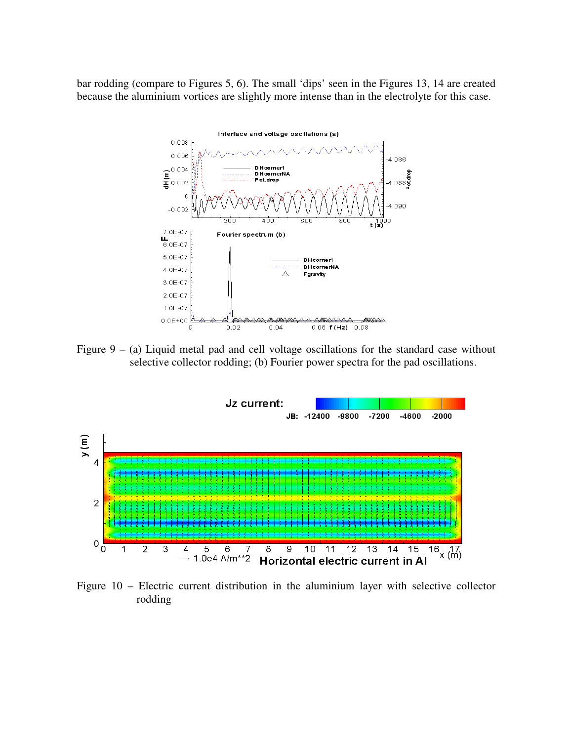bar rodding (compare to Figures 5, 6). The small 'dips' seen in the Figures 13, 14 are created because the aluminium vortices are slightly more intense than in the electrolyte for this case.



Figure  $9 - (a)$  Liquid metal pad and cell voltage oscillations for the standard case without selective collector rodding; (b) Fourier power spectra for the pad oscillations.



Figure 10 – Electric current distribution in the aluminium layer with selective collector rodding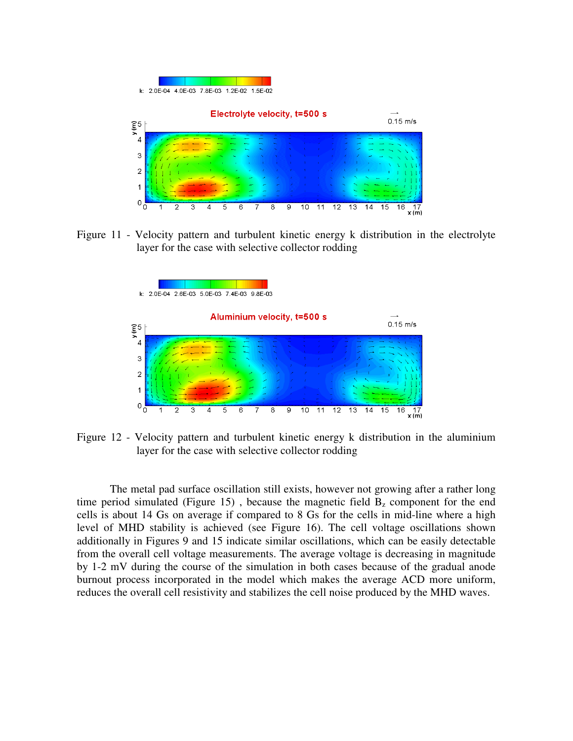

Figure 11 - Velocity pattern and turbulent kinetic energy k distribution in the electrolyte layer for the case with selective collector rodding



Figure 12 - Velocity pattern and turbulent kinetic energy k distribution in the aluminium layer for the case with selective collector rodding

The metal pad surface oscillation still exists, however not growing after a rather long time period simulated (Figure 15), because the magnetic field  $B<sub>z</sub>$  component for the end cells is about 14 Gs on average if compared to 8 Gs for the cells in mid-line where a high level of MHD stability is achieved (see Figure 16). The cell voltage oscillations shown additionally in Figures 9 and 15 indicate similar oscillations, which can be easily detectable from the overall cell voltage measurements. The average voltage is decreasing in magnitude by 1-2 mV during the course of the simulation in both cases because of the gradual anode burnout process incorporated in the model which makes the average ACD more uniform, reduces the overall cell resistivity and stabilizes the cell noise produced by the MHD waves.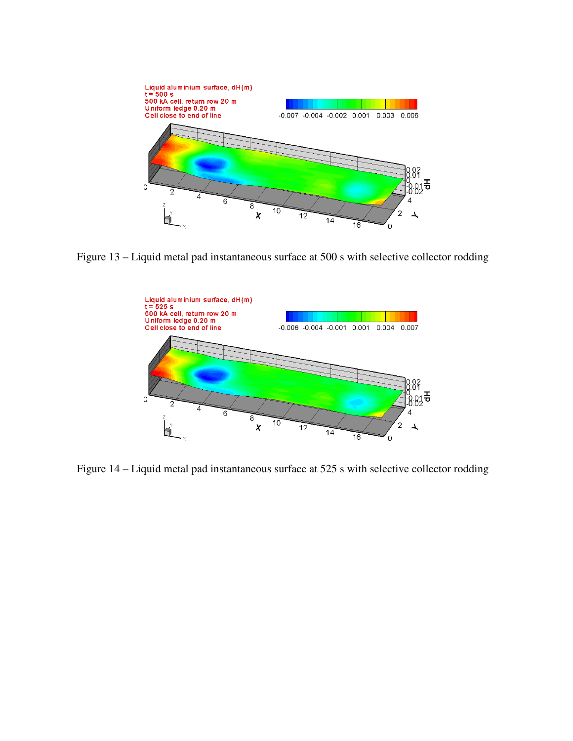

Figure 13 – Liquid metal pad instantaneous surface at 500 s with selective collector rodding



Figure 14 – Liquid metal pad instantaneous surface at 525 s with selective collector rodding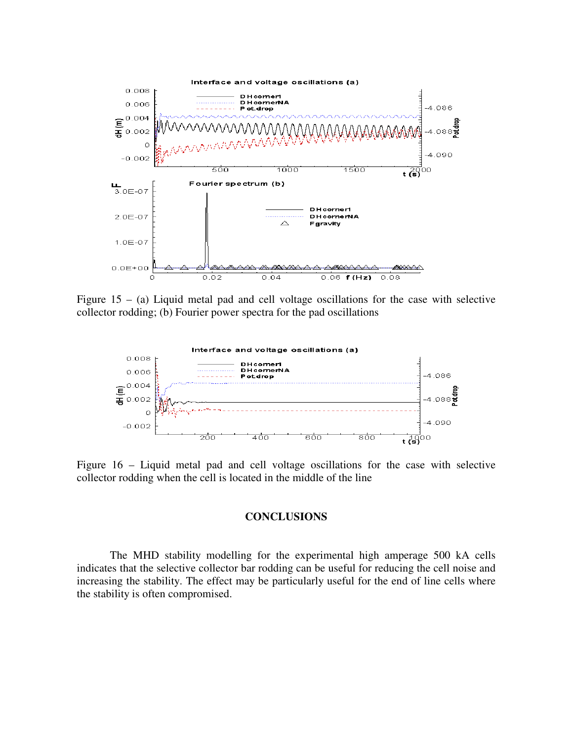

Figure  $15 - (a)$  Liquid metal pad and cell voltage oscillations for the case with selective collector rodding; (b) Fourier power spectra for the pad oscillations



Figure 16 – Liquid metal pad and cell voltage oscillations for the case with selective collector rodding when the cell is located in the middle of the line

## **CONCLUSIONS**

The MHD stability modelling for the experimental high amperage 500 kA cells indicates that the selective collector bar rodding can be useful for reducing the cell noise and increasing the stability. The effect may be particularly useful for the end of line cells where the stability is often compromised.